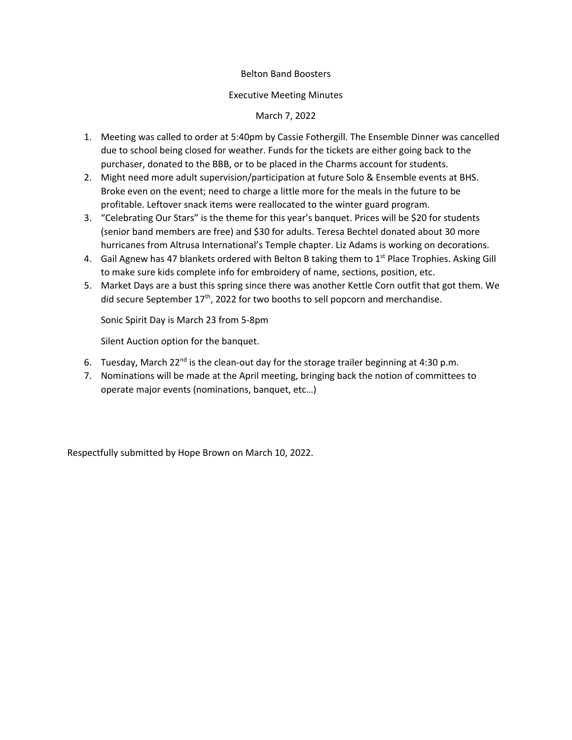#### Belton Band Boosters

#### Executive Meeting Minutes

### March 7, 2022

- 1. Meeting was called to order at 5:40pm by Cassie Fothergill. The Ensemble Dinner was cancelled due to school being closed for weather. Funds for the tickets are either going back to the purchaser, donated to the BBB, or to be placed in the Charms account for students.
- 2. Might need more adult supervision/participation at future Solo & Ensemble events at BHS. Broke even on the event; need to charge a little more for the meals in the future to be profitable. Leftover snack items were reallocated to the winter guard program.
- 3. "Celebrating Our Stars" is the theme for this year's banquet. Prices will be \$20 for students (senior band members are free) and \$30 for adults. Teresa Bechtel donated about 30 more hurricanes from Altrusa International's Temple chapter. Liz Adams is working on decorations.
- 4. Gail Agnew has 47 blankets ordered with Belton B taking them to  $1<sup>st</sup>$  Place Trophies. Asking Gill to make sure kids complete info for embroidery of name, sections, position, etc.
- 5. Market Days are a bust this spring since there was another Kettle Corn outfit that got them. We did secure September  $17<sup>th</sup>$ , 2022 for two booths to sell popcorn and merchandise.

Sonic Spirit Day is March 23 from 5-8pm

Silent Auction option for the banquet.

- 6. Tuesday, March 22<sup>nd</sup> is the clean-out day for the storage trailer beginning at 4:30 p.m.
- 7. Nominations will be made at the April meeting, bringing back the notion of committees to operate major events (nominations, banquet, etc…)

Respectfully submitted by Hope Brown on March 10, 2022.